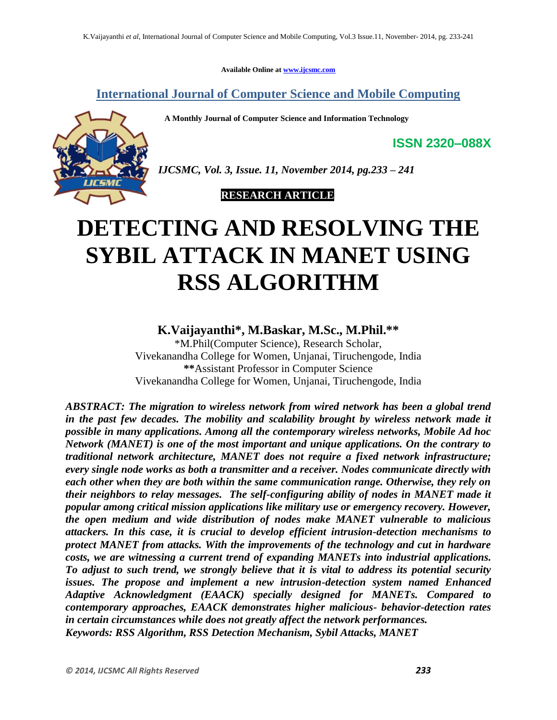**Available Online at [www.ijcsmc.com](http://www.ijcsmc.com/)**

**International Journal of Computer Science and Mobile Computing**

 **A Monthly Journal of Computer Science and Information Technology**



*IJCSMC, Vol. 3, Issue. 11, November 2014, pg.233 – 241*

 **RESEARCH ARTICLE**

# **DETECTING AND RESOLVING THE SYBIL ATTACK IN MANET USING RSS ALGORITHM**

**K.Vaijayanthi\* , M.Baskar, M.Sc., M.Phil.\*\***

\*M.Phil(Computer Science), Research Scholar, Vivekanandha College for Women, Unjanai, Tiruchengode, India **\*\***Assistant Professor in Computer Science Vivekanandha College for Women, Unjanai, Tiruchengode, India

*ABSTRACT: The migration to wireless network from wired network has been a global trend*  in the past few decades. The mobility and scalability brought by wireless network made it *possible in many applications. Among all the contemporary wireless networks, Mobile Ad hoc Network (MANET) is one of the most important and unique applications. On the contrary to traditional network architecture, MANET does not require a fixed network infrastructure; every single node works as both a transmitter and a receiver. Nodes communicate directly with each other when they are both within the same communication range. Otherwise, they rely on their neighbors to relay messages. The self-configuring ability of nodes in MANET made it popular among critical mission applications like military use or emergency recovery. However, the open medium and wide distribution of nodes make MANET vulnerable to malicious attackers. In this case, it is crucial to develop efficient intrusion-detection mechanisms to protect MANET from attacks. With the improvements of the technology and cut in hardware costs, we are witnessing a current trend of expanding MANETs into industrial applications. To adjust to such trend, we strongly believe that it is vital to address its potential security issues. The propose and implement a new intrusion-detection system named Enhanced Adaptive Acknowledgment (EAACK) specially designed for MANETs. Compared to contemporary approaches, EAACK demonstrates higher malicious- behavior-detection rates in certain circumstances while does not greatly affect the network performances. Keywords: RSS Algorithm, RSS Detection Mechanism, Sybil Attacks, MANET*

**ISSN 2320–088X**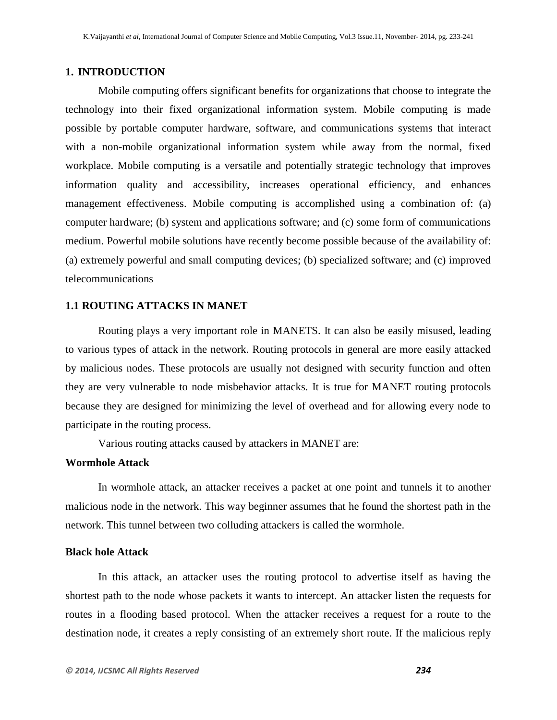## **1. INTRODUCTION**

Mobile computing offers significant benefits for organizations that choose to integrate the technology into their fixed organizational information system. Mobile computing is made possible by portable computer hardware, software, and communications systems that interact with a non-mobile organizational information system while away from the normal, fixed workplace. Mobile computing is a versatile and potentially strategic technology that improves information quality and accessibility, increases operational efficiency, and enhances management effectiveness. Mobile computing is accomplished using a combination of: (a) computer hardware; (b) system and applications software; and (c) some form of communications medium. Powerful mobile solutions have recently become possible because of the availability of: (a) extremely powerful and small computing devices; (b) specialized software; and (c) improved telecommunications

## **1.1 ROUTING ATTACKS IN MANET**

Routing plays a very important role in MANETS. It can also be easily misused, leading to various types of attack in the network. Routing protocols in general are more easily attacked by malicious nodes. These protocols are usually not designed with security function and often they are very vulnerable to node misbehavior attacks. It is true for MANET routing protocols because they are designed for minimizing the level of overhead and for allowing every node to participate in the routing process.

Various routing attacks caused by attackers in MANET are:

# **Wormhole Attack**

In wormhole attack, an attacker receives a packet at one point and tunnels it to another malicious node in the network. This way beginner assumes that he found the shortest path in the network. This tunnel between two colluding attackers is called the wormhole.

## **Black hole Attack**

In this attack, an attacker uses the routing protocol to advertise itself as having the shortest path to the node whose packets it wants to intercept. An attacker listen the requests for routes in a flooding based protocol. When the attacker receives a request for a route to the destination node, it creates a reply consisting of an extremely short route. If the malicious reply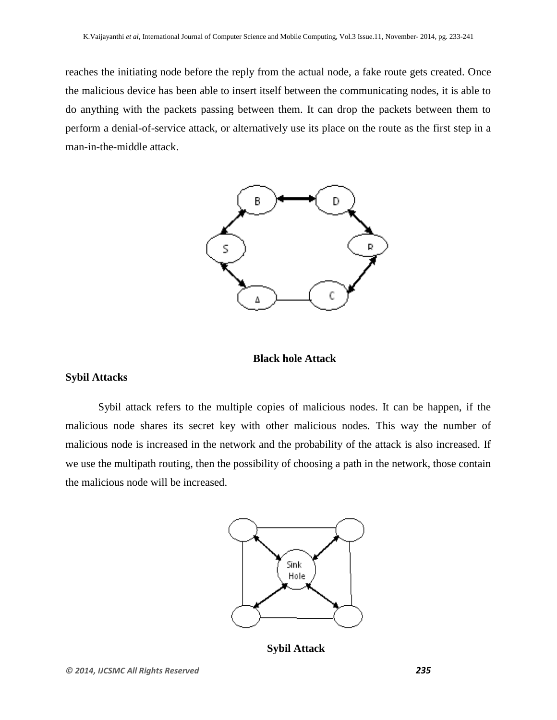reaches the initiating node before the reply from the actual node, a fake route gets created. Once the malicious device has been able to insert itself between the communicating nodes, it is able to do anything with the packets passing between them. It can drop the packets between them to perform a denial-of-service attack, or alternatively use its place on the route as the first step in a man-in-the-middle attack.



## **Black hole Attack**

## **Sybil Attacks**

Sybil attack refers to the multiple copies of malicious nodes. It can be happen, if the malicious node shares its secret key with other malicious nodes. This way the number of malicious node is increased in the network and the probability of the attack is also increased. If we use the multipath routing, then the possibility of choosing a path in the network, those contain the malicious node will be increased.



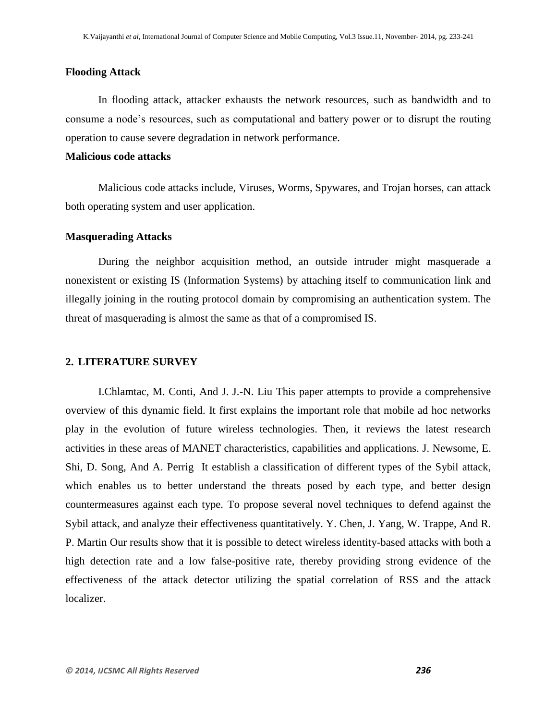## **Flooding Attack**

In flooding attack, attacker exhausts the network resources, such as bandwidth and to consume a node's resources, such as computational and battery power or to disrupt the routing operation to cause severe degradation in network performance.

## **Malicious code attacks**

Malicious code attacks include, Viruses, Worms, Spywares, and Trojan horses, can attack both operating system and user application.

## **Masquerading Attacks**

During the neighbor acquisition method, an outside intruder might masquerade a nonexistent or existing IS (Information Systems) by attaching itself to communication link and illegally joining in the routing protocol domain by compromising an authentication system. The threat of masquerading is almost the same as that of a compromised IS.

#### **2. LITERATURE SURVEY**

I.Chlamtac, M. Conti, And J. J.-N. Liu This paper attempts to provide a comprehensive overview of this dynamic field. It first explains the important role that mobile ad hoc networks play in the evolution of future wireless technologies. Then, it reviews the latest research activities in these areas of MANET characteristics, capabilities and applications. J. Newsome, E. Shi, D. Song, And A. Perrig It establish a classification of different types of the Sybil attack, which enables us to better understand the threats posed by each type, and better design countermeasures against each type. To propose several novel techniques to defend against the Sybil attack, and analyze their effectiveness quantitatively. Y. Chen, J. Yang, W. Trappe, And R. P. Martin Our results show that it is possible to detect wireless identity-based attacks with both a high detection rate and a low false-positive rate, thereby providing strong evidence of the effectiveness of the attack detector utilizing the spatial correlation of RSS and the attack localizer.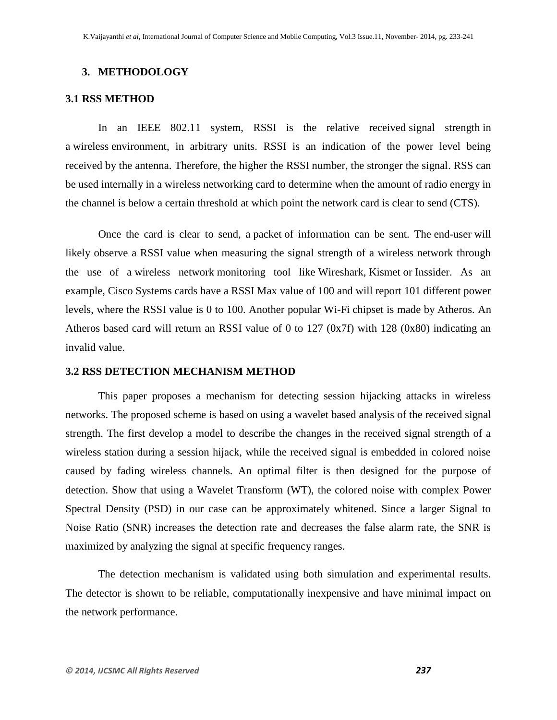## **3. METHODOLOGY**

#### **3.1 RSS METHOD**

In an IEEE 802.11 system, RSSI is the relative received [signal strength](http://en.wikipedia.org/wiki/Signal_strength) in a [wireless](http://en.wikipedia.org/wiki/Wireless) environment, in arbitrary units. RSSI is an indication of the power level being received by the antenna. Therefore, the higher the RSSI number, the stronger the signal. RSS can be used internally in a [wireless networking](http://en.wikipedia.org/wiki/Wireless_LAN) card to determine when the amount of radio energy in the channel is below a certain threshold at which point the network card is [clear to send](http://en.wikipedia.org/wiki/IEEE_802.11_RTS/CTS) (CTS).

Once the card is clear to send, a [packet](http://en.wikipedia.org/wiki/Packet_(information_technology)) of information can be sent. The [end-user](http://en.wikipedia.org/wiki/End-user) will likely observe a RSSI value when measuring the signal strength of a wireless network through the use of a [wireless network](http://en.wikipedia.org/wiki/Wireless_LAN) monitoring tool like [Wireshark,](http://en.wikipedia.org/wiki/Wireshark) [Kismet](http://en.wikipedia.org/wiki/Kismet_(software)) or [Inssider.](http://en.wikipedia.org/wiki/Inssider) As an example, [Cisco Systems](http://en.wikipedia.org/wiki/Cisco_Systems) cards have a RSSI Max value of 100 and will report 101 different power levels, where the RSSI value is 0 to 100. Another popular [Wi-Fi](http://en.wikipedia.org/wiki/Wi-Fi) chipset is made by [Atheros.](http://en.wikipedia.org/wiki/Atheros) An Atheros based card will return an RSSI value of 0 to 127 (0x7f) with 128 (0x80) indicating an invalid value.

## **3.2 RSS DETECTION MECHANISM METHOD**

This paper proposes a mechanism for detecting session hijacking attacks in wireless networks. The proposed scheme is based on using a wavelet based analysis of the received signal strength. The first develop a model to describe the changes in the received signal strength of a wireless station during a session hijack, while the received signal is embedded in colored noise caused by fading wireless channels. An optimal filter is then designed for the purpose of detection. Show that using a Wavelet Transform (WT), the colored noise with complex Power Spectral Density (PSD) in our case can be approximately whitened. Since a larger Signal to Noise Ratio (SNR) increases the detection rate and decreases the false alarm rate, the SNR is maximized by analyzing the signal at specific frequency ranges.

The detection mechanism is validated using both simulation and experimental results. The detector is shown to be reliable, computationally inexpensive and have minimal impact on the network performance.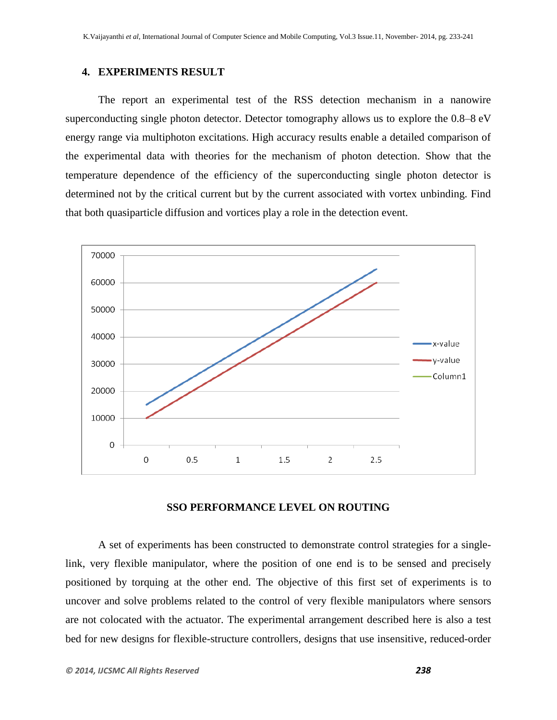## **4. EXPERIMENTS RESULT**

The report an experimental test of the RSS detection mechanism in a nanowire superconducting single photon detector. Detector tomography allows us to explore the 0.8–8 eV energy range via multiphoton excitations. High accuracy results enable a detailed comparison of the experimental data with theories for the mechanism of photon detection. Show that the temperature dependence of the efficiency of the superconducting single photon detector is determined not by the critical current but by the current associated with vortex unbinding. Find that both quasiparticle diffusion and vortices play a role in the detection event.



## **SSO PERFORMANCE LEVEL ON ROUTING**

A set of experiments has been constructed to demonstrate control strategies for a singlelink, very flexible manipulator, where the position of one end is to be sensed and precisely positioned by torquing at the other end. The objective of this first set of experiments is to uncover and solve problems related to the control of very flexible manipulators where sensors are not colocated with the actuator. The experimental arrangement described here is also a test bed for new designs for flexible-structure controllers, designs that use insensitive, reduced-order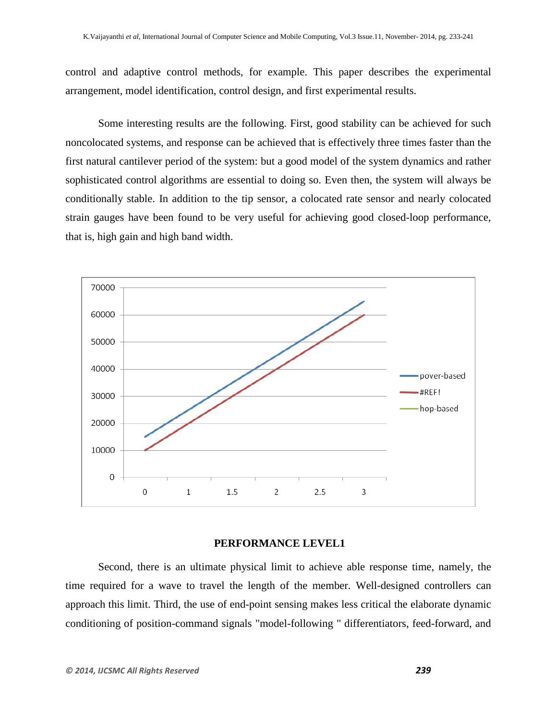control and adaptive control methods, for example. This paper describes the experimental arrangement, model identification, control design, and first experimental results.

Some interesting results are the following. First, good stability can be achieved for such noncolocated systems, and response can be achieved that is effectively three times faster than the first natural cantilever period of the system: but a good model of the system dynamics and rather sophisticated control algorithms are essential to doing so. Even then, the system will always be conditionally stable. In addition to the tip sensor, a colocated rate sensor and nearly colocated strain gauges have been found to be very useful for achieving good closed-loop performance, that is, high gain and high band width.



## **PERFORMANCE LEVEL1**

Second, there is an ultimate physical limit to achieve able response time, namely, the time required for a wave to travel the length of the member. Well-designed controllers can approach this limit. Third, the use of end-point sensing makes less critical the elaborate dynamic conditioning of position-command signals "model-following " differentiators, feed-forward, and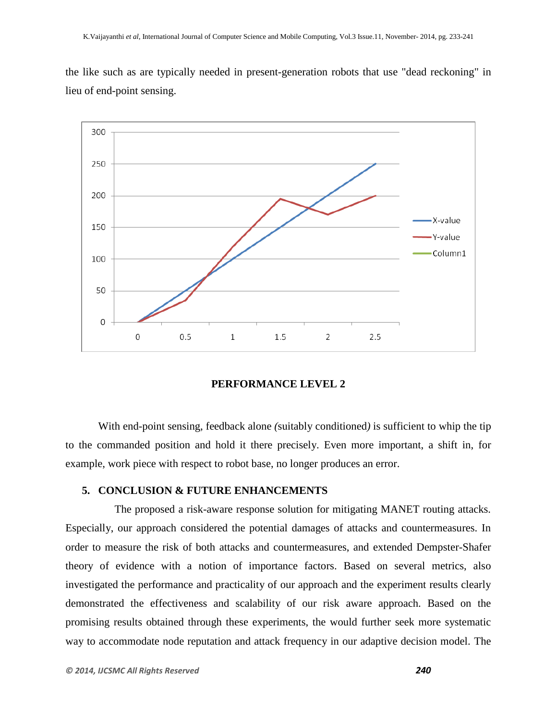the like such as are typically needed in present-generation robots that use "dead reckoning" in lieu of end-point sensing.



## **PERFORMANCE LEVEL 2**

With end-point sensing, feedback alone *(*suitably conditioned*)* is sufficient to whip the tip to the commanded position and hold it there precisely. Even more important, a shift in, for example, work piece with respect to robot base, no longer produces an error.

## **5. CONCLUSION & FUTURE ENHANCEMENTS**

 The proposed a risk-aware response solution for mitigating MANET routing attacks. Especially, our approach considered the potential damages of attacks and countermeasures. In order to measure the risk of both attacks and countermeasures, and extended Dempster-Shafer theory of evidence with a notion of importance factors. Based on several metrics, also investigated the performance and practicality of our approach and the experiment results clearly demonstrated the effectiveness and scalability of our risk aware approach. Based on the promising results obtained through these experiments, the would further seek more systematic way to accommodate node reputation and attack frequency in our adaptive decision model. The